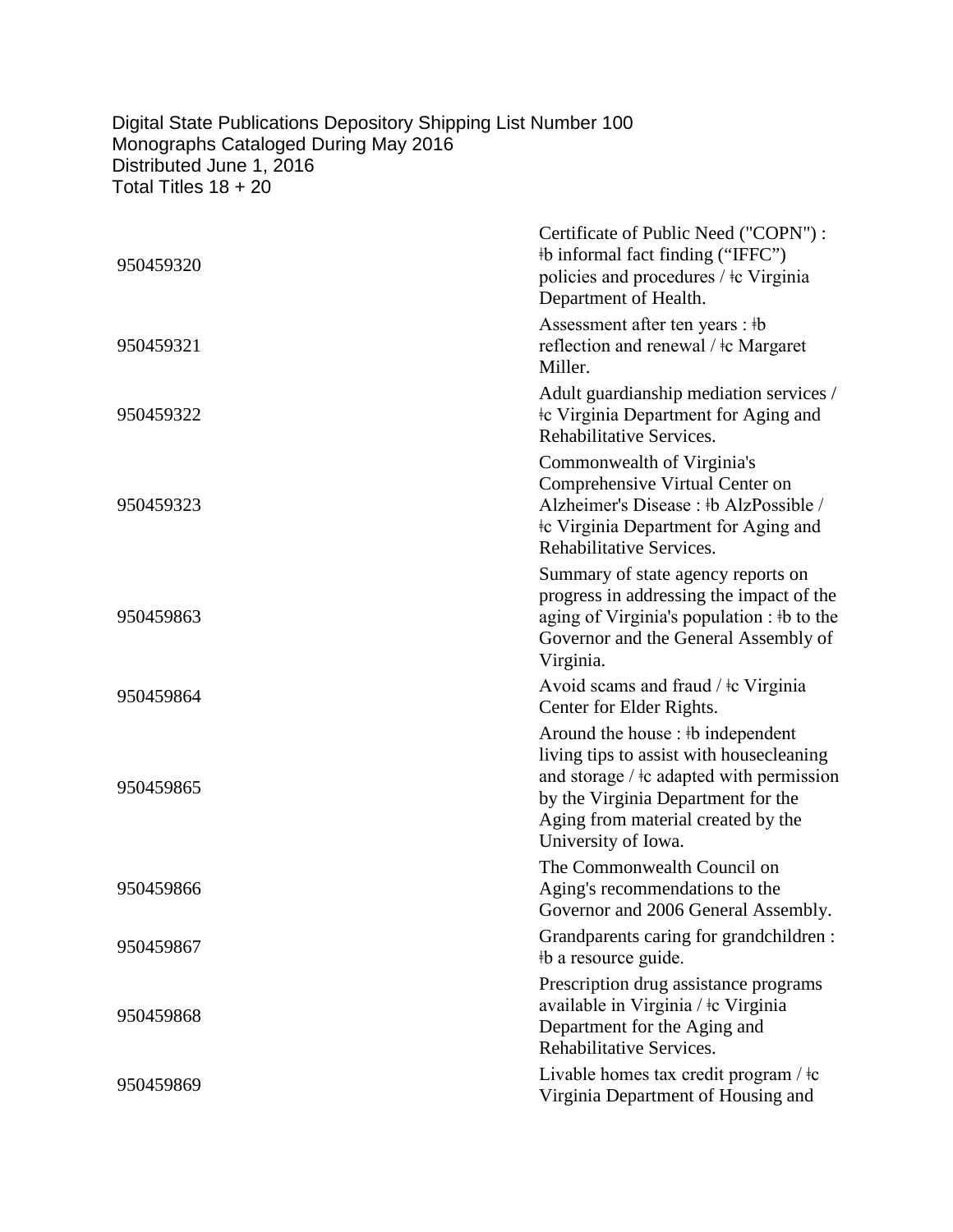## Digital State Publications Depository Shipping List Number 100 Monographs Cataloged During May 2016 Distributed June 1, 2016 Total Titles 18 + 20

| 950459320 | Certificate of Public Need ("COPN"):<br>#b informal fact finding ("IFFC")<br>policies and procedures / ‡c Virginia<br>Department of Health.                                                                                         |
|-----------|-------------------------------------------------------------------------------------------------------------------------------------------------------------------------------------------------------------------------------------|
| 950459321 | Assessment after ten years : #b<br>reflection and renewal / ‡c Margaret<br>Miller.                                                                                                                                                  |
| 950459322 | Adult guardianship mediation services /<br>the Virginia Department for Aging and<br>Rehabilitative Services.                                                                                                                        |
| 950459323 | Commonwealth of Virginia's<br>Comprehensive Virtual Center on<br>Alzheimer's Disease : #b AlzPossible /<br>the Virginia Department for Aging and<br>Rehabilitative Services.                                                        |
| 950459863 | Summary of state agency reports on<br>progress in addressing the impact of the<br>aging of Virginia's population : #b to the<br>Governor and the General Assembly of<br>Virginia.                                                   |
| 950459864 | Avoid scams and fraud / $\pm c$ Virginia<br>Center for Elder Rights.                                                                                                                                                                |
| 950459865 | Around the house : #b independent<br>living tips to assist with housecleaning<br>and storage $/$ $\pm$ c adapted with permission<br>by the Virginia Department for the<br>Aging from material created by the<br>University of Iowa. |
| 950459866 | The Commonwealth Council on<br>Aging's recommendations to the<br>Governor and 2006 General Assembly.                                                                                                                                |
| 950459867 | Grandparents caring for grandchildren :<br>#b a resource guide.                                                                                                                                                                     |
| 950459868 | Prescription drug assistance programs<br>available in Virginia / ‡c Virginia<br>Department for the Aging and<br>Rehabilitative Services.                                                                                            |
| 950459869 | Livable homes tax credit program / $\pm c$<br>Virginia Department of Housing and                                                                                                                                                    |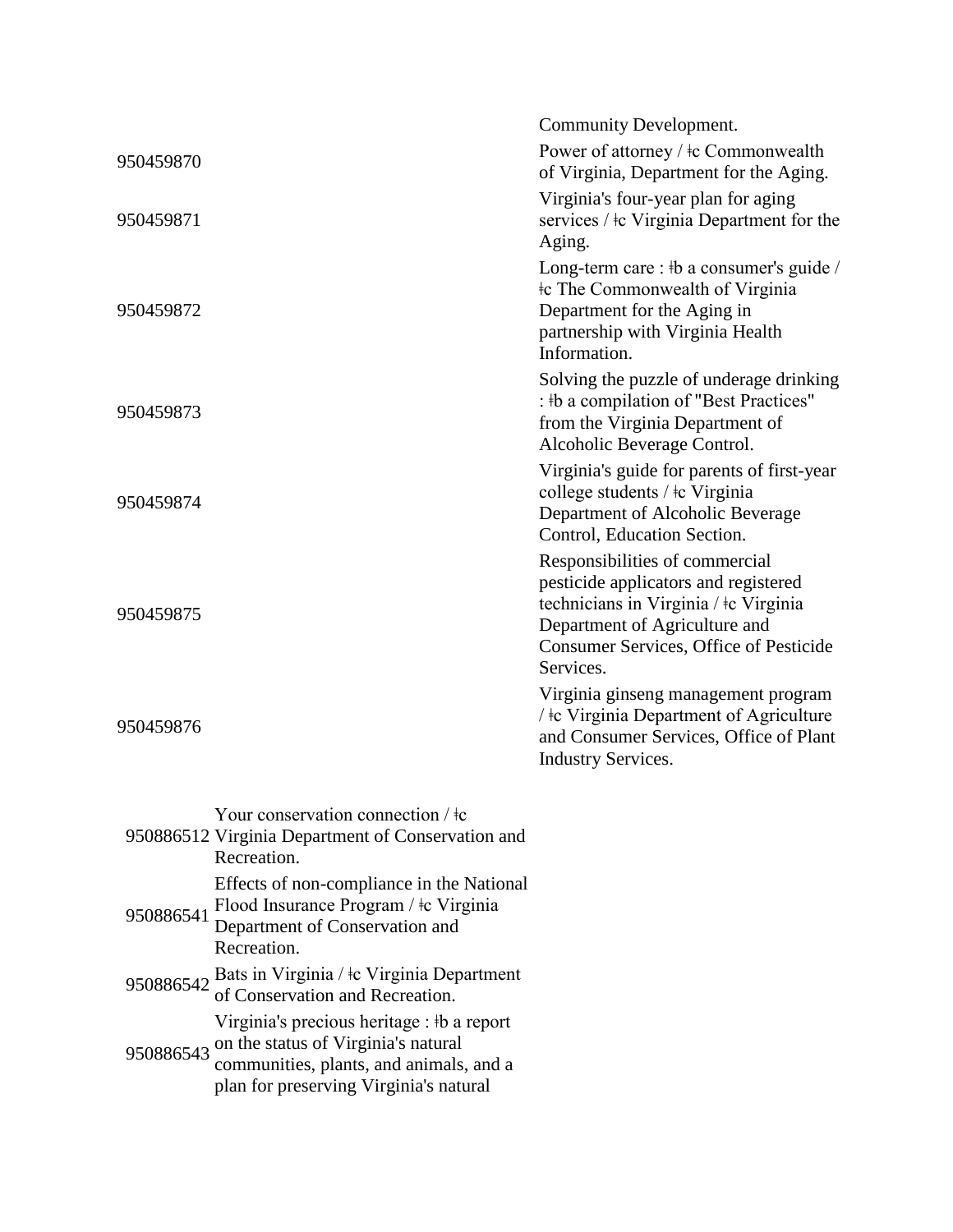|           |                                                                                                                                     | Community Development.                                                                                                                                                                                  |
|-----------|-------------------------------------------------------------------------------------------------------------------------------------|---------------------------------------------------------------------------------------------------------------------------------------------------------------------------------------------------------|
| 950459870 |                                                                                                                                     | Power of attorney / ‡c Commonwealth<br>of Virginia, Department for the Aging.                                                                                                                           |
| 950459871 |                                                                                                                                     | Virginia's four-year plan for aging<br>services / $\pm c$ Virginia Department for the<br>Aging.                                                                                                         |
| 950459872 |                                                                                                                                     | Long-term care : #b a consumer's guide /<br><b>Commonwealth of Virginia</b><br>Department for the Aging in<br>partnership with Virginia Health<br>Information.                                          |
| 950459873 |                                                                                                                                     | Solving the puzzle of underage drinking<br>: #b a compilation of "Best Practices"<br>from the Virginia Department of<br>Alcoholic Beverage Control.                                                     |
| 950459874 |                                                                                                                                     | Virginia's guide for parents of first-year<br>college students / ‡c Virginia<br>Department of Alcoholic Beverage<br>Control, Education Section.                                                         |
| 950459875 |                                                                                                                                     | Responsibilities of commercial<br>pesticide applicators and registered<br>technicians in Virginia / ‡c Virginia<br>Department of Agriculture and<br>Consumer Services, Office of Pesticide<br>Services. |
| 950459876 |                                                                                                                                     | Virginia ginseng management program<br>/ ‡c Virginia Department of Agriculture<br>and Consumer Services, Office of Plant<br><b>Industry Services.</b>                                                   |
|           | Your conservation connection $/$ +c<br>950886512 Virginia Department of Conservation and<br>Recreation.                             |                                                                                                                                                                                                         |
| 950886541 | Effects of non-compliance in the National<br>Flood Insurance Program / ‡c Virginia<br>Department of Conservation and<br>Recreation. |                                                                                                                                                                                                         |
|           | 950886542 Bats in Virginia / ‡c Virginia Department<br>of Conservation and Recreation.                                              |                                                                                                                                                                                                         |
|           | Virginia's precious heritage : #b a report<br>on the status of Virginia's natural                                                   |                                                                                                                                                                                                         |

950886543 on the status of Virginia's natural communities, plants, and animals, and a plan for preserving Virginia's natural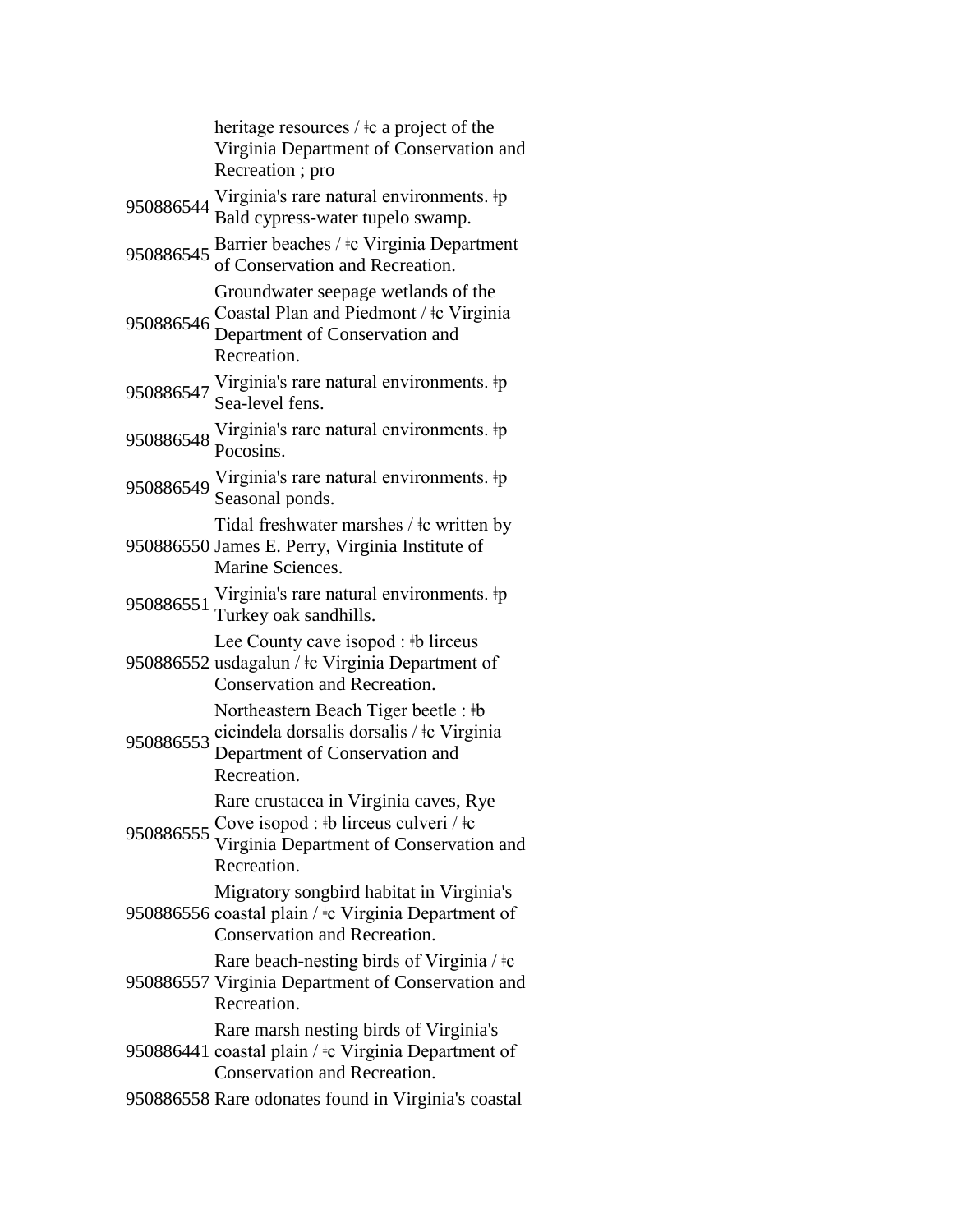heritage resources / ǂc a project of the Virginia Department of Conservation and Recreation ; pro 950886544 Virginia's rare natural environments. ‡p Bald cypress-water tupelo swamp. <sup>950886545</sup> Barrier beaches / ǂc Virginia Department of Conservation and Recreation. 950886546 Coastal Plan and Piedmont / ‡c Virginia Groundwater seepage wetlands of the Department of Conservation and Recreation. <sup>950886547</sup> Virginia's rare natural environments. ǂp Sea-level fens. 950886548 Virginia's rare natural environments. ‡p<br>Pocosins. 950886549 Virginia's rare natural environments. ‡p Seasonal ponds. 950886550 James E. Perry, Virginia Institute of Tidal freshwater marshes / ǂc written by Marine Sciences. <sup>950886551</sup> Virginia's rare natural environments. ǂp Turkey oak sandhills. 950886552 usdagalun / ǂc Virginia Department of Lee County cave isopod : ‡b lirceus Conservation and Recreation. 950886553 cicindela dorsalis dorsalis / ǂc Virginia Northeastern Beach Tiger beetle : ǂb Department of Conservation and Recreation. 950886555 Cove isopod : \#b lirceus culveri / \\+c Rare crustacea in Virginia caves, Rye Virginia Department of Conservation and Recreation. 950886556 coastal plain / ‡c Virginia Department of Migratory songbird habitat in Virginia's Conservation and Recreation. 950886557 Virginia Department of Conservation and Rare beach-nesting birds of Virginia  $/$   $\pm c$ Recreation. 950886441 coastal plain / ǂc Virginia Department of Rare marsh nesting birds of Virginia's Conservation and Recreation. 950886558 Rare odonates found in Virginia's coastal